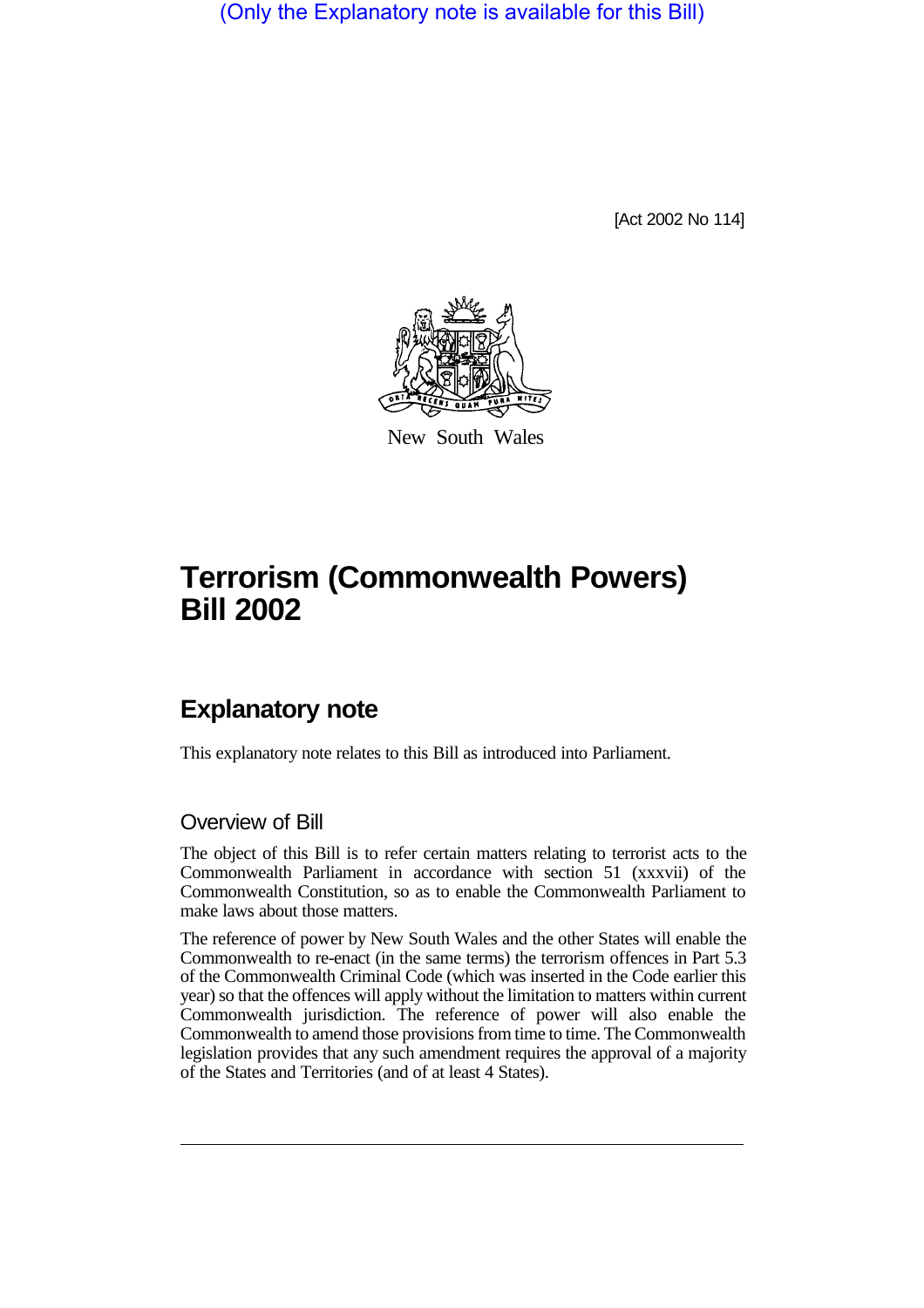(Only the Explanatory note is available for this Bill)

[Act 2002 No 114]



New South Wales

## **Terrorism (Commonwealth Powers) Bill 2002**

## **Explanatory note**

This explanatory note relates to this Bill as introduced into Parliament.

## Overview of Bill

The object of this Bill is to refer certain matters relating to terrorist acts to the Commonwealth Parliament in accordance with section 51 (xxxvii) of the Commonwealth Constitution, so as to enable the Commonwealth Parliament to make laws about those matters.

The reference of power by New South Wales and the other States will enable the Commonwealth to re-enact (in the same terms) the terrorism offences in Part 5.3 of the Commonwealth Criminal Code (which was inserted in the Code earlier this year) so that the offences will apply without the limitation to matters within current Commonwealth jurisdiction. The reference of power will also enable the Commonwealth to amend those provisions from time to time. The Commonwealth legislation provides that any such amendment requires the approval of a majority of the States and Territories (and of at least 4 States).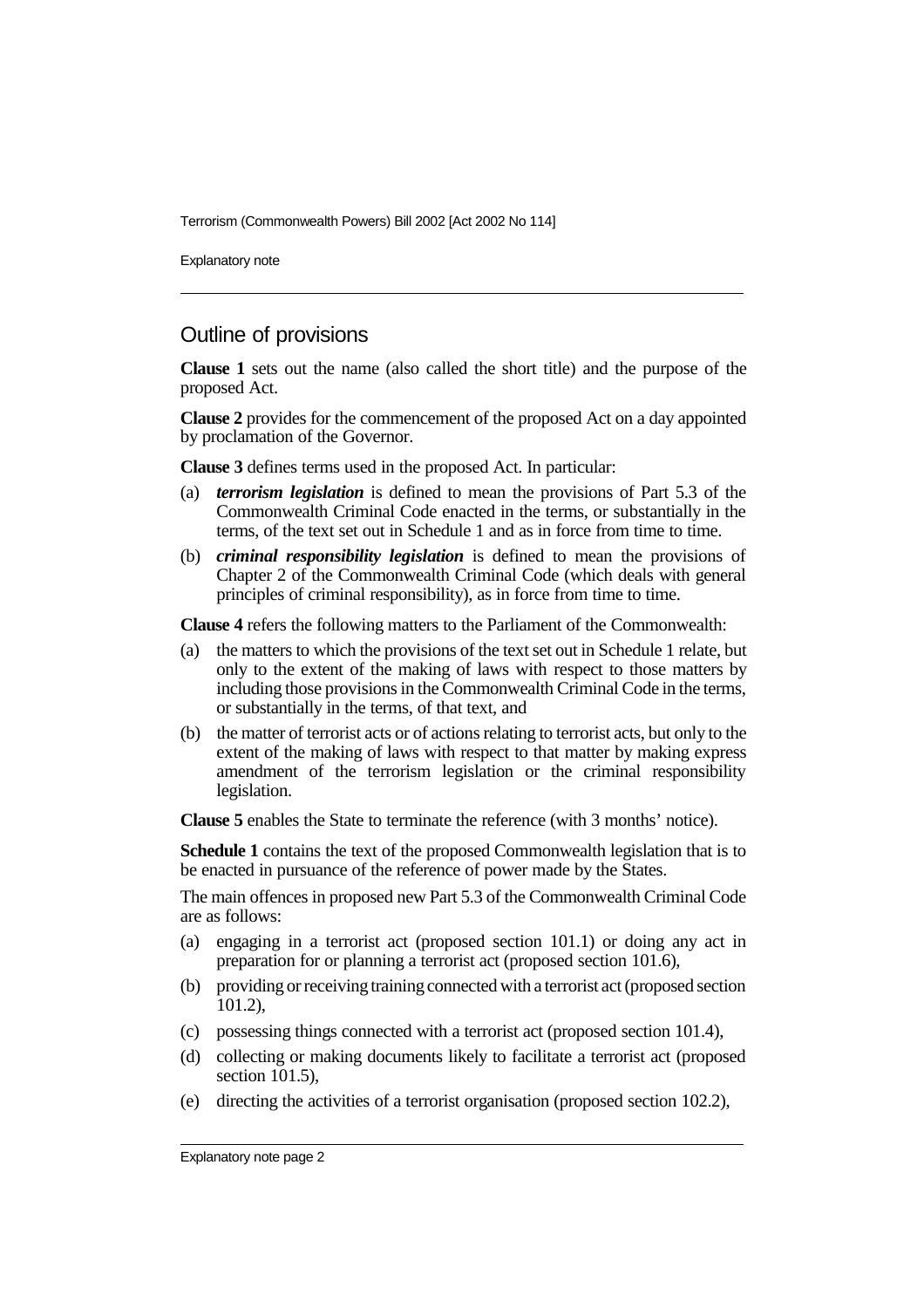Terrorism (Commonwealth Powers) Bill 2002 [Act 2002 No 114]

Explanatory note

## Outline of provisions

**Clause 1** sets out the name (also called the short title) and the purpose of the proposed Act.

**Clause 2** provides for the commencement of the proposed Act on a day appointed by proclamation of the Governor.

**Clause 3** defines terms used in the proposed Act. In particular:

- (a) *terrorism legislation* is defined to mean the provisions of Part 5.3 of the Commonwealth Criminal Code enacted in the terms, or substantially in the terms, of the text set out in Schedule 1 and as in force from time to time.
- (b) *criminal responsibility legislation* is defined to mean the provisions of Chapter 2 of the Commonwealth Criminal Code (which deals with general principles of criminal responsibility), as in force from time to time.

**Clause 4** refers the following matters to the Parliament of the Commonwealth:

- (a) the matters to which the provisions of the text set out in Schedule 1 relate, but only to the extent of the making of laws with respect to those matters by including those provisions in the Commonwealth Criminal Code in the terms, or substantially in the terms, of that text, and
- (b) the matter of terrorist acts or of actions relating to terrorist acts, but only to the extent of the making of laws with respect to that matter by making express amendment of the terrorism legislation or the criminal responsibility legislation.

**Clause 5** enables the State to terminate the reference (with 3 months' notice).

**Schedule 1** contains the text of the proposed Commonwealth legislation that is to be enacted in pursuance of the reference of power made by the States.

The main offences in proposed new Part 5.3 of the Commonwealth Criminal Code are as follows:

- (a) engaging in a terrorist act (proposed section 101.1) or doing any act in preparation for or planning a terrorist act (proposed section 101.6),
- (b) providing or receiving training connected with a terrorist act (proposed section 101.2),
- (c) possessing things connected with a terrorist act (proposed section 101.4),
- (d) collecting or making documents likely to facilitate a terrorist act (proposed section 101.5),
- (e) directing the activities of a terrorist organisation (proposed section 102.2),